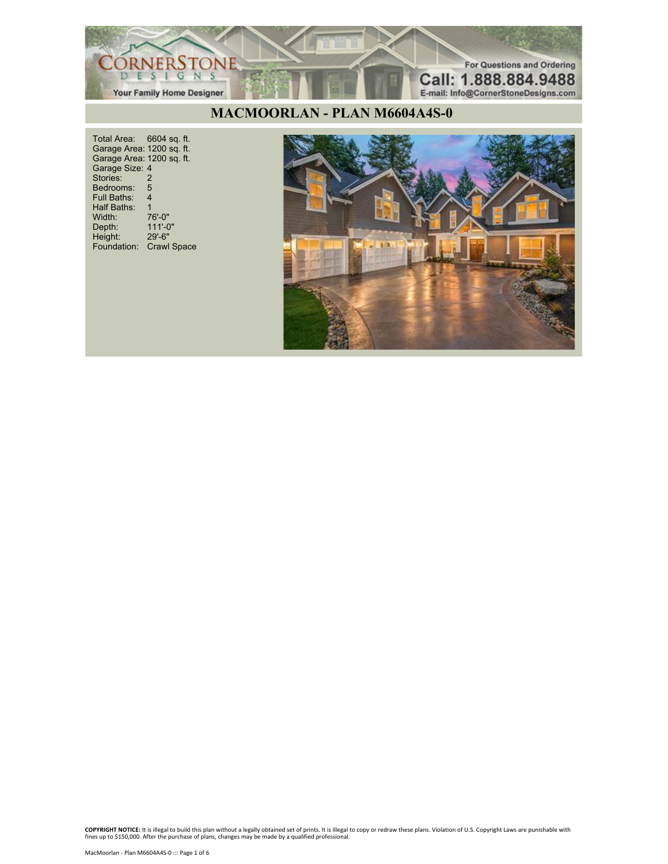

#### **MACMOORLAN - PLAN M6604A4S-0**

Total Area: 6604 sq. ft. Garage Area: 1200 sq. ft. Garage Area: 1200 sq. ft. Garage Size: 4 Stories: 2 Bedrooms: 5<br>Full Baths: 4 Full Baths: 4 Half Baths: 1 Width: 76'-0"<br>Depth: 111'-0" Depth: 111'-0" Height: 29'-6" Foundation: Crawl Space

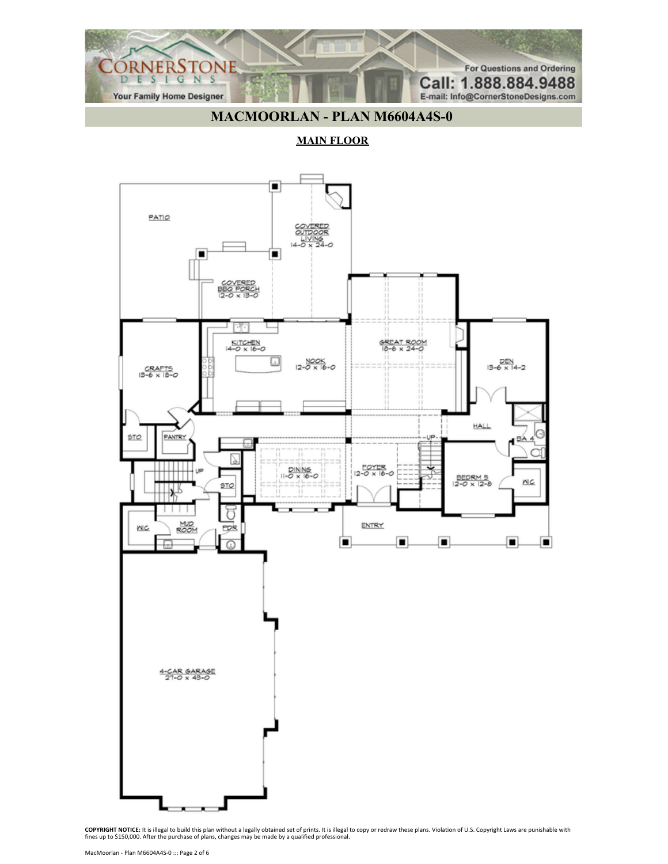

# **MACMOORLAN - PLAN M6604A4S-0**

**MAIN FLOOR**

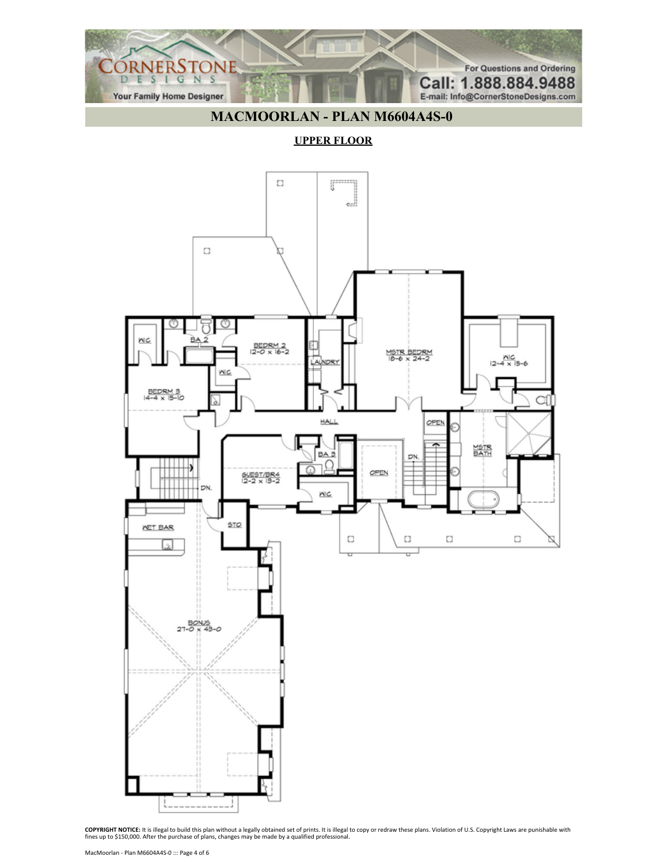

## **MACMOORLAN - PLAN M6604A4S-0**

#### **UPPER FLOOR**